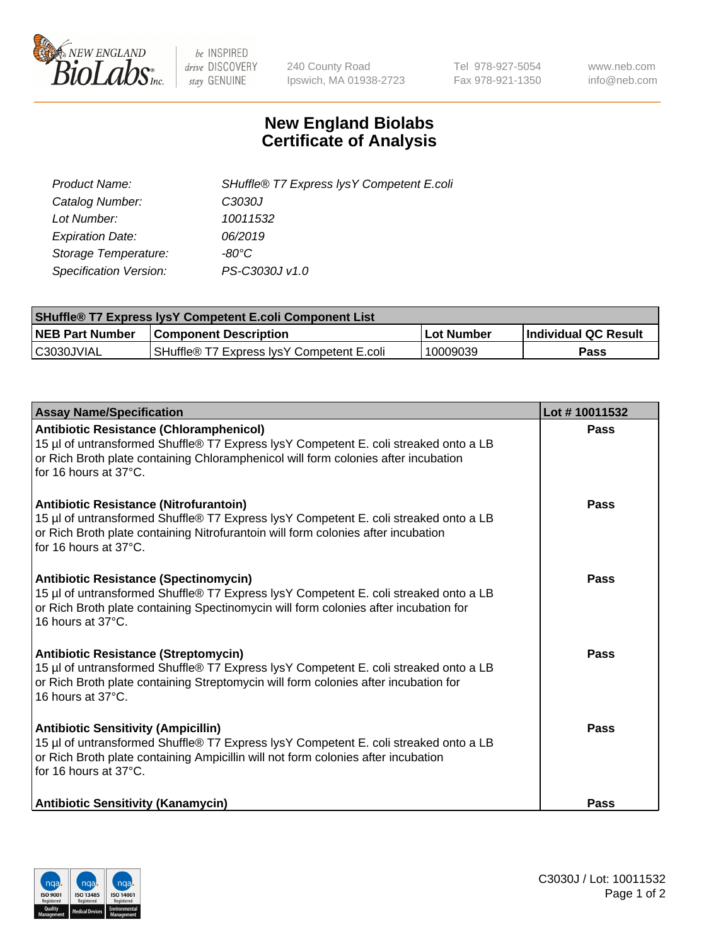

 $be$  INSPIRED drive DISCOVERY stay GENUINE

240 County Road Ipswich, MA 01938-2723 Tel 978-927-5054 Fax 978-921-1350 www.neb.com info@neb.com

## **New England Biolabs Certificate of Analysis**

| Product Name:           | SHuffle® T7 Express lysY Competent E.coli |
|-------------------------|-------------------------------------------|
| Catalog Number:         | C3030J                                    |
| Lot Number:             | 10011532                                  |
| <b>Expiration Date:</b> | 06/2019                                   |
| Storage Temperature:    | -80°C                                     |
| Specification Version:  | PS-C3030J v1.0                            |

| <b>SHuffle® T7 Express lysY Competent E.coli Component List</b> |                                           |                   |                             |  |
|-----------------------------------------------------------------|-------------------------------------------|-------------------|-----------------------------|--|
| <b>NEB Part Number</b>                                          | <b>Component Description</b>              | <b>Lot Number</b> | <b>Individual QC Result</b> |  |
| C3030JVIAL                                                      | SHuffle® T7 Express lysY Competent E.coli | 10009039          | Pass                        |  |

| <b>Assay Name/Specification</b>                                                                                                                                                                                                                       | Lot #10011532 |
|-------------------------------------------------------------------------------------------------------------------------------------------------------------------------------------------------------------------------------------------------------|---------------|
| <b>Antibiotic Resistance (Chloramphenicol)</b><br>15 µl of untransformed Shuffle® T7 Express lysY Competent E. coli streaked onto a LB<br>or Rich Broth plate containing Chloramphenicol will form colonies after incubation<br>for 16 hours at 37°C. | <b>Pass</b>   |
| Antibiotic Resistance (Nitrofurantoin)<br>15 µl of untransformed Shuffle® T7 Express lysY Competent E. coli streaked onto a LB<br>or Rich Broth plate containing Nitrofurantoin will form colonies after incubation<br>for 16 hours at 37°C.          | Pass          |
| <b>Antibiotic Resistance (Spectinomycin)</b><br>15 µl of untransformed Shuffle® T7 Express lysY Competent E. coli streaked onto a LB<br>or Rich Broth plate containing Spectinomycin will form colonies after incubation for<br>16 hours at 37°C.     | Pass          |
| <b>Antibiotic Resistance (Streptomycin)</b><br>15 µl of untransformed Shuffle® T7 Express lysY Competent E. coli streaked onto a LB<br>or Rich Broth plate containing Streptomycin will form colonies after incubation for<br>16 hours at 37°C.       | Pass          |
| <b>Antibiotic Sensitivity (Ampicillin)</b><br>15 µl of untransformed Shuffle® T7 Express lysY Competent E. coli streaked onto a LB<br>or Rich Broth plate containing Ampicillin will not form colonies after incubation<br>for 16 hours at 37°C.      | Pass          |
| <b>Antibiotic Sensitivity (Kanamycin)</b>                                                                                                                                                                                                             | Pass          |